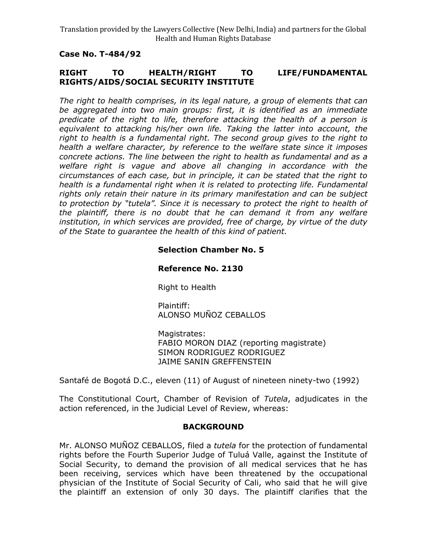# **Case No. T-484/92**

# **RIGHT TO HEALTH/RIGHT TO LIFE/FUNDAMENTAL RIGHTS/AIDS/SOCIAL SECURITY INSTITUTE**

*The right to health comprises, in its legal nature, a group of elements that can be aggregated into two main groups: first, it is identified as an immediate predicate of the right to life, therefore attacking the health of a person is equivalent to attacking his/her own life. Taking the latter into account, the right to health is a fundamental right. The second group gives to the right to health a welfare character, by reference to the welfare state since it imposes concrete actions. The line between the right to health as fundamental and as a welfare right is vague and above all changing in accordance with the circumstances of each case, but in principle, it can be stated that the right to health is a fundamental right when it is related to protecting life. Fundamental rights only retain their nature in its primary manifestation and can be subject to protection by "tutela". Since it is necessary to protect the right to health of the plaintiff, there is no doubt that he can demand it from any welfare institution, in which services are provided, free of charge, by virtue of the duty of the State to guarantee the health of this kind of patient.*

## **Selection Chamber No. 5**

# **Reference No. 2130**

Right to Health

Plaintiff: ALONSO MUÑOZ CEBALLOS

Magistrates: FABIO MORON DIAZ (reporting magistrate) SIMON RODRIGUEZ RODRIGUEZ JAIME SANIN GREFFENSTEIN

Santafé de Bogotá D.C., eleven (11) of August of nineteen ninety-two (1992)

The Constitutional Court, Chamber of Revision of *Tutela*, adjudicates in the action referenced, in the Judicial Level of Review, whereas:

### **BACKGROUND**

Mr. ALONSO MUÑOZ CEBALLOS, filed a *tutela* for the protection of fundamental rights before the Fourth Superior Judge of Tuluá Valle, against the Institute of Social Security, to demand the provision of all medical services that he has been receiving, services which have been threatened by the occupational physician of the Institute of Social Security of Cali, who said that he will give the plaintiff an extension of only 30 days. The plaintiff clarifies that the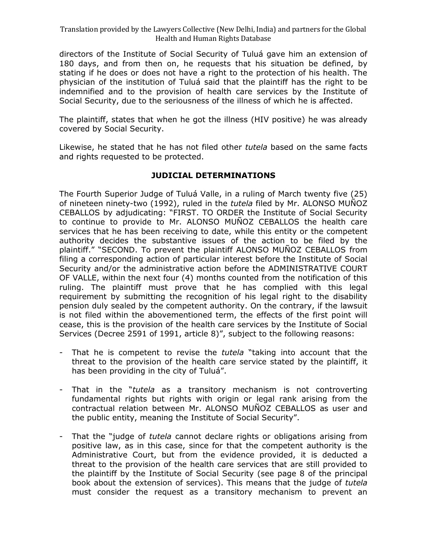directors of the Institute of Social Security of Tuluá gave him an extension of 180 days, and from then on, he requests that his situation be defined, by stating if he does or does not have a right to the protection of his health. The physician of the institution of Tuluá said that the plaintiff has the right to be indemnified and to the provision of health care services by the Institute of Social Security, due to the seriousness of the illness of which he is affected.

The plaintiff, states that when he got the illness (HIV positive) he was already covered by Social Security.

Likewise, he stated that he has not filed other *tutela* based on the same facts and rights requested to be protected.

# **JUDICIAL DETERMINATIONS**

The Fourth Superior Judge of Tuluá Valle, in a ruling of March twenty five (25) of nineteen ninety-two (1992), ruled in the *tutela* filed by Mr. ALONSO MUÑOZ CEBALLOS by adjudicating: "FIRST. TO ORDER the Institute of Social Security to continue to provide to Mr. ALONSO MUÑOZ CEBALLOS the health care services that he has been receiving to date, while this entity or the competent authority decides the substantive issues of the action to be filed by the plaintiff." "SECOND. To prevent the plaintiff ALONSO MUÑOZ CEBALLOS from filing a corresponding action of particular interest before the Institute of Social Security and/or the administrative action before the ADMINISTRATIVE COURT OF VALLE, within the next four (4) months counted from the notification of this ruling. The plaintiff must prove that he has complied with this legal requirement by submitting the recognition of his legal right to the disability pension duly sealed by the competent authority. On the contrary, if the lawsuit is not filed within the abovementioned term, the effects of the first point will cease, this is the provision of the health care services by the Institute of Social Services (Decree 2591 of 1991, article 8)", subject to the following reasons:

- That he is competent to revise the *tutela* "taking into account that the threat to the provision of the health care service stated by the plaintiff, it has been providing in the city of Tuluá".
- That in the "tutela as a transitory mechanism is not controverting fundamental rights but rights with origin or legal rank arising from the contractual relation between Mr. ALONSO MUÑOZ CEBALLOS as user and the public entity, meaning the Institute of Social Security".
- That the "judge of *tutela* cannot declare rights or obligations arising from positive law, as in this case, since for that the competent authority is the Administrative Court, but from the evidence provided, it is deducted a threat to the provision of the health care services that are still provided to the plaintiff by the Institute of Social Security (see page 8 of the principal book about the extension of services). This means that the judge of *tutela* must consider the request as a transitory mechanism to prevent an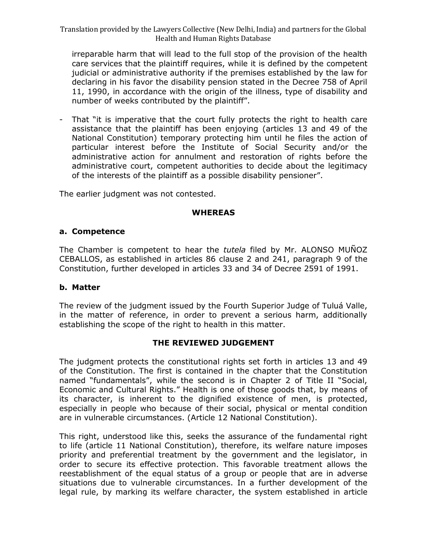irreparable harm that will lead to the full stop of the provision of the health care services that the plaintiff requires, while it is defined by the competent judicial or administrative authority if the premises established by the law for declaring in his favor the disability pension stated in the Decree 758 of April 11, 1990, in accordance with the origin of the illness, type of disability and number of weeks contributed by the plaintiff".

- That "it is imperative that the court fully protects the right to health care assistance that the plaintiff has been enjoying (articles 13 and 49 of the National Constitution) temporary protecting him until he files the action of particular interest before the Institute of Social Security and/or the administrative action for annulment and restoration of rights before the administrative court, competent authorities to decide about the legitimacy of the interests of the plaintiff as a possible disability pensioner".

The earlier judgment was not contested.

## **WHEREAS**

## **a. Competence**

The Chamber is competent to hear the *tutela* filed by Mr. ALONSO MUÑOZ CEBALLOS, as established in articles 86 clause 2 and 241, paragraph 9 of the Constitution, further developed in articles 33 and 34 of Decree 2591 of 1991.

### **b. Matter**

The review of the judgment issued by the Fourth Superior Judge of Tuluá Valle, in the matter of reference, in order to prevent a serious harm, additionally establishing the scope of the right to health in this matter.

# **THE REVIEWED JUDGEMENT**

The judgment protects the constitutional rights set forth in articles 13 and 49 of the Constitution. The first is contained in the chapter that the Constitution named "fundamentals", while the second is in Chapter 2 of Title II "Social, Economic and Cultural Rights." Health is one of those goods that, by means of its character, is inherent to the dignified existence of men, is protected, especially in people who because of their social, physical or mental condition are in vulnerable circumstances. (Article 12 National Constitution).

This right, understood like this, seeks the assurance of the fundamental right to life (article 11 National Constitution), therefore, its welfare nature imposes priority and preferential treatment by the government and the legislator, in order to secure its effective protection. This favorable treatment allows the reestablishment of the equal status of a group or people that are in adverse situations due to vulnerable circumstances. In a further development of the legal rule, by marking its welfare character, the system established in article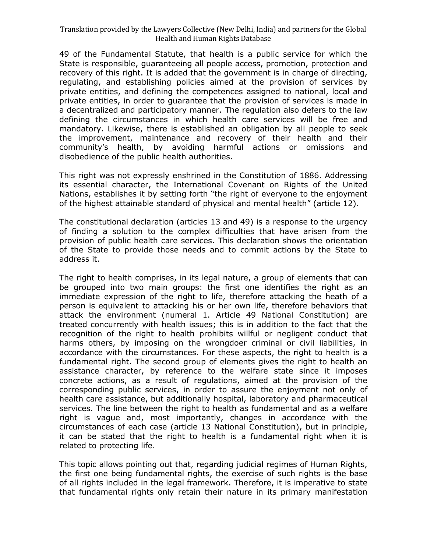49 of the Fundamental Statute, that health is a public service for which the State is responsible, guaranteeing all people access, promotion, protection and recovery of this right. It is added that the government is in charge of directing, regulating, and establishing policies aimed at the provision of services by private entities, and defining the competences assigned to national, local and private entities, in order to guarantee that the provision of services is made in a decentralized and participatory manner. The regulation also defers to the law defining the circumstances in which health care services will be free and mandatory. Likewise, there is established an obligation by all people to seek the improvement, maintenance and recovery of their health and their community's health, by avoiding harmful actions or omissions and disobedience of the public health authorities.

This right was not expressly enshrined in the Constitution of 1886. Addressing its essential character, the International Covenant on Rights of the United Nations, establishes it by setting forth "the right of everyone to the enjoyment of the highest attainable standard of physical and mental health" (article 12).

The constitutional declaration (articles 13 and 49) is a response to the urgency of finding a solution to the complex difficulties that have arisen from the provision of public health care services. This declaration shows the orientation of the State to provide those needs and to commit actions by the State to address it.

The right to health comprises, in its legal nature, a group of elements that can be grouped into two main groups: the first one identifies the right as an immediate expression of the right to life, therefore attacking the heath of a person is equivalent to attacking his or her own life, therefore behaviors that attack the environment (numeral 1. Article 49 National Constitution) are treated concurrently with health issues; this is in addition to the fact that the recognition of the right to health prohibits willful or negligent conduct that harms others, by imposing on the wrongdoer criminal or civil liabilities, in accordance with the circumstances. For these aspects, the right to health is a fundamental right. The second group of elements gives the right to health an assistance character, by reference to the welfare state since it imposes concrete actions, as a result of regulations, aimed at the provision of the corresponding public services, in order to assure the enjoyment not only of health care assistance, but additionally hospital, laboratory and pharmaceutical services. The line between the right to health as fundamental and as a welfare right is vague and, most importantly, changes in accordance with the circumstances of each case (article 13 National Constitution), but in principle, it can be stated that the right to health is a fundamental right when it is related to protecting life.

This topic allows pointing out that, regarding judicial regimes of Human Rights, the first one being fundamental rights, the exercise of such rights is the base of all rights included in the legal framework. Therefore, it is imperative to state that fundamental rights only retain their nature in its primary manifestation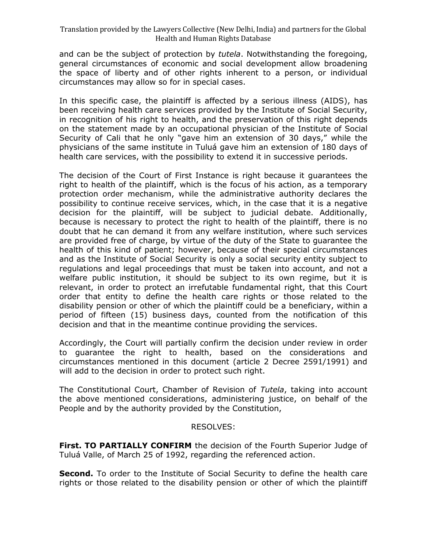and can be the subject of protection by *tutela*. Notwithstanding the foregoing, general circumstances of economic and social development allow broadening the space of liberty and of other rights inherent to a person, or individual circumstances may allow so for in special cases.

In this specific case, the plaintiff is affected by a serious illness (AIDS), has been receiving health care services provided by the Institute of Social Security, in recognition of his right to health, and the preservation of this right depends on the statement made by an occupational physician of the Institute of Social Security of Cali that he only "gave him an extension of 30 days," while the physicians of the same institute in Tuluá gave him an extension of 180 days of health care services, with the possibility to extend it in successive periods.

The decision of the Court of First Instance is right because it guarantees the right to health of the plaintiff, which is the focus of his action, as a temporary protection order mechanism, while the administrative authority declares the possibility to continue receive services, which, in the case that it is a negative decision for the plaintiff, will be subject to judicial debate. Additionally, because is necessary to protect the right to health of the plaintiff, there is no doubt that he can demand it from any welfare institution, where such services are provided free of charge, by virtue of the duty of the State to guarantee the health of this kind of patient; however, because of their special circumstances and as the Institute of Social Security is only a social security entity subject to regulations and legal proceedings that must be taken into account, and not a welfare public institution, it should be subject to its own regime, but it is relevant, in order to protect an irrefutable fundamental right, that this Court order that entity to define the health care rights or those related to the disability pension or other of which the plaintiff could be a beneficiary, within a period of fifteen (15) business days, counted from the notification of this decision and that in the meantime continue providing the services.

Accordingly, the Court will partially confirm the decision under review in order to guarantee the right to health, based on the considerations and circumstances mentioned in this document (article 2 Decree 2591/1991) and will add to the decision in order to protect such right.

The Constitutional Court, Chamber of Revision of *Tutela*, taking into account the above mentioned considerations, administering justice, on behalf of the People and by the authority provided by the Constitution,

### RESOLVES:

**First. TO PARTIALLY CONFIRM** the decision of the Fourth Superior Judge of Tuluá Valle, of March 25 of 1992, regarding the referenced action.

**Second.** To order to the Institute of Social Security to define the health care rights or those related to the disability pension or other of which the plaintiff